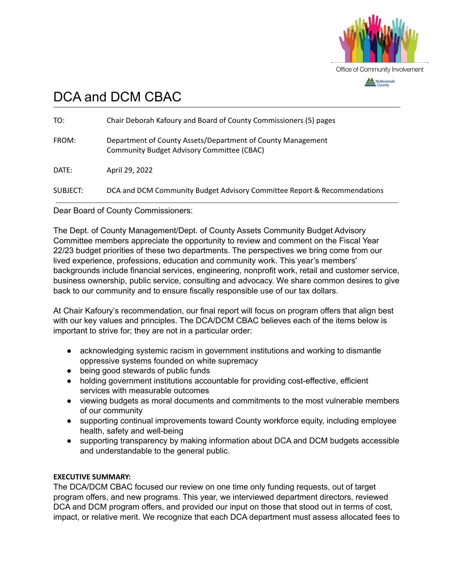

# DCA and DCM CBAC

| TO:      | Chair Deborah Kafoury and Board of County Commissioners (5) pages                                                |
|----------|------------------------------------------------------------------------------------------------------------------|
| FROM:    | Department of County Assets/Department of County Management<br><b>Community Budget Advisory Committee (CBAC)</b> |
| DATE:    | April 29, 2022                                                                                                   |
| SUBJECT: | DCA and DCM Community Budget Advisory Committee Report & Recommendations                                         |

Dear Board of County Commissioners:

The Dept. of County Management/Dept. of County Assets Community Budget Advisory Committee members appreciate the opportunity to review and comment on the Fiscal Year 22/23 budget priorities of these two departments. The perspectives we bring come from our lived experience, professions, education and community work. This year's members' backgrounds include financial services, engineering, nonprofit work, retail and customer service, business ownership, public service, consulting and advocacy. We share common desires to give back to our community and to ensure fiscally responsible use of our tax dollars.

At Chair Kafoury's recommendation, our final report will focus on program offers that align best with our key values and principles. The DCA/DCM CBAC believes each of the items below is important to strive for; they are not in a particular order:

- acknowledging systemic racism in government institutions and working to dismantle oppressive systems founded on white supremacy
- being good stewards of public funds
- holding government institutions accountable for providing cost-effective, efficient services with measurable outcomes
- viewing budgets as moral documents and commitments to the most vulnerable members of our community
- supporting continual improvements toward County workforce equity, including employee health, safety and well-being
- supporting transparency by making information about DCA and DCM budgets accessible and understandable to the general public.

# **EXECUTIVE SUMMARY:**

The DCA/DCM CBAC focused our review on one time only funding requests, out of target program offers, and new programs. This year, we interviewed department directors, reviewed DCA and DCM program offers, and provided our input on those that stood out in terms of cost, impact, or relative merit. We recognize that each DCA department must assess allocated fees to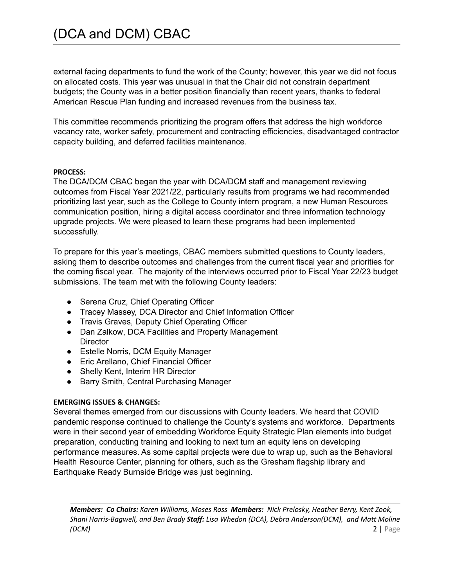external facing departments to fund the work of the County; however, this year we did not focus on allocated costs. This year was unusual in that the Chair did not constrain department budgets; the County was in a better position financially than recent years, thanks to federal American Rescue Plan funding and increased revenues from the business tax.

This committee recommends prioritizing the program offers that address the high workforce vacancy rate, worker safety, procurement and contracting efficiencies, disadvantaged contractor capacity building, and deferred facilities maintenance.

#### **PROCESS:**

The DCA/DCM CBAC began the year with DCA/DCM staff and management reviewing outcomes from Fiscal Year 2021/22, particularly results from programs we had recommended prioritizing last year, such as the College to County intern program, a new Human Resources communication position, hiring a digital access coordinator and three information technology upgrade projects. We were pleased to learn these programs had been implemented successfully.

To prepare for this year's meetings, CBAC members submitted questions to County leaders, asking them to describe outcomes and challenges from the current fiscal year and priorities for the coming fiscal year. The majority of the interviews occurred prior to Fiscal Year 22/23 budget submissions. The team met with the following County leaders:

- Serena Cruz, Chief Operating Officer
- Tracey Massey, DCA Director and Chief Information Officer
- Travis Graves, Deputy Chief Operating Officer
- Dan Zalkow, DCA Facilities and Property Management **Director**
- Estelle Norris, DCM Equity Manager
- Eric Arellano, Chief Financial Officer
- Shelly Kent, Interim HR Director
- Barry Smith, Central Purchasing Manager

#### **EMERGING ISSUES & CHANGES:**

Several themes emerged from our discussions with County leaders. We heard that COVID pandemic response continued to challenge the County's systems and workforce. Departments were in their second year of embedding Workforce Equity Strategic Plan elements into budget preparation, conducting training and looking to next turn an equity lens on developing performance measures. As some capital projects were due to wrap up, such as the Behavioral Health Resource Center, planning for others, such as the Gresham flagship library and Earthquake Ready Burnside Bridge was just beginning.

*Members: Co Chairs: Karen Williams, Moses Ross Members: Nick Prelosky, Heather Berry, Kent Zook, Shani Harris-Bagwell, and Ben Brady Staff: Lisa Whedon (DCA), Debra Anderson(DCM), and Matt Moline (DCM)* 2 | Page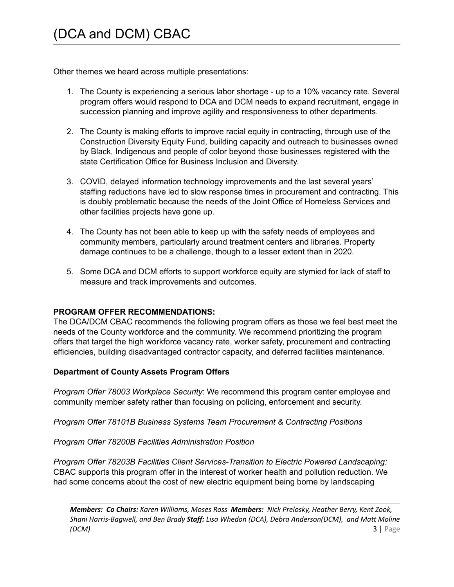Other themes we heard across multiple presentations:

- 1. The County is experiencing a serious labor shortage up to a 10% vacancy rate. Several program offers would respond to DCA and DCM needs to expand recruitment, engage in succession planning and improve agility and responsiveness to other departments.
- 2. The County is making efforts to improve racial equity in contracting, through use of the Construction Diversity Equity Fund, building capacity and outreach to businesses owned by Black, Indigenous and people of color beyond those businesses registered with the state Certification Office for Business Inclusion and Diversity.
- 3. COVID, delayed information technology improvements and the last several years' staffing reductions have led to slow response times in procurement and contracting. This is doubly problematic because the needs of the Joint Office of Homeless Services and other facilities projects have gone up.
- 4. The County has not been able to keep up with the safety needs of employees and community members, particularly around treatment centers and libraries. Property damage continues to be a challenge, though to a lesser extent than in 2020.
- 5. Some DCA and DCM efforts to support workforce equity are stymied for lack of staff to measure and track improvements and outcomes.

# **PROGRAM OFFER RECOMMENDATIONS:**

The DCA/DCM CBAC recommends the following program offers as those we feel best meet the needs of the County workforce and the community. We recommend prioritizing the program offers that target the high workforce vacancy rate, worker safety, procurement and contracting efficiencies, building disadvantaged contractor capacity, and deferred facilities maintenance.

# **Department of County Assets Program Offers**

*Program Offer 78003 Workplace Security*: We recommend this program center employee and community member safety rather than focusing on policing, enforcement and security.

*Program Offer 78101B Business Systems Team Procurement & Contracting Positions*

*Program Offer 78200B Facilities Administration Position*

*Program Offer 78203B Facilities Client Services-Transition to Electric Powered Landscaping:* CBAC supports this program offer in the interest of worker health and pollution reduction. We had some concerns about the cost of new electric equipment being borne by landscaping

*Members: Co Chairs: Karen Williams, Moses Ross Members: Nick Prelosky, Heather Berry, Kent Zook, Shani Harris-Bagwell, and Ben Brady Staff: Lisa Whedon (DCA), Debra Anderson(DCM), and Matt Moline (DCM)* 3 | Page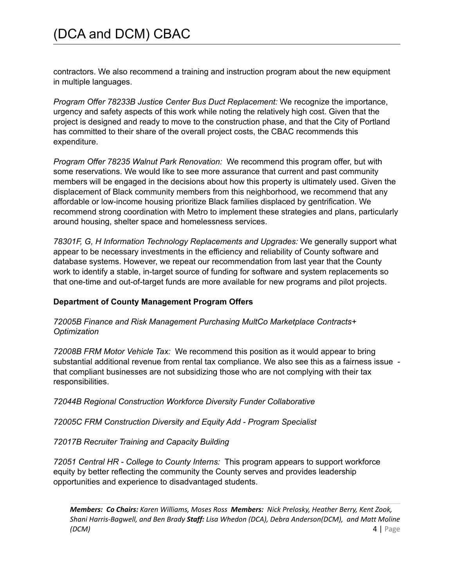contractors. We also recommend a training and instruction program about the new equipment in multiple languages.

*Program Offer 78233B Justice Center Bus Duct Replacement:* We recognize the importance, urgency and safety aspects of this work while noting the relatively high cost. Given that the project is designed and ready to move to the construction phase, and that the City of Portland has committed to their share of the overall project costs, the CBAC recommends this expenditure.

*Program Offer 78235 Walnut Park Renovation:* We recommend this program offer, but with some reservations. We would like to see more assurance that current and past community members will be engaged in the decisions about how this property is ultimately used. Given the displacement of Black community members from this neighborhood, we recommend that any affordable or low-income housing prioritize Black families displaced by gentrification. We recommend strong coordination with Metro to implement these strategies and plans, particularly around housing, shelter space and homelessness services.

*78301F, G, H Information Technology Replacements and Upgrades:* We generally support what appear to be necessary investments in the efficiency and reliability of County software and database systems. However, we repeat our recommendation from last year that the County work to identify a stable, in-target source of funding for software and system replacements so that one-time and out-of-target funds are more available for new programs and pilot projects.

# **Department of County Management Program Offers**

### *72005B Finance and Risk Management Purchasing MultCo Marketplace Contracts+ Optimization*

*72008B FRM Motor Vehicle Tax:* We recommend this position as it would appear to bring substantial additional revenue from rental tax compliance. We also see this as a fairness issue that compliant businesses are not subsidizing those who are not complying with their tax responsibilities.

*72044B Regional Construction Workforce Diversity Funder Collaborative*

*72005C FRM Construction Diversity and Equity Add - Program Specialist*

*72017B Recruiter Training and Capacity Building*

*72051 Central HR - College to County Interns:* This program appears to support workforce equity by better reflecting the community the County serves and provides leadership opportunities and experience to disadvantaged students.

*Members: Co Chairs: Karen Williams, Moses Ross Members: Nick Prelosky, Heather Berry, Kent Zook, Shani Harris-Bagwell, and Ben Brady Staff: Lisa Whedon (DCA), Debra Anderson(DCM), and Matt Moline (DCM)* 4 | Page